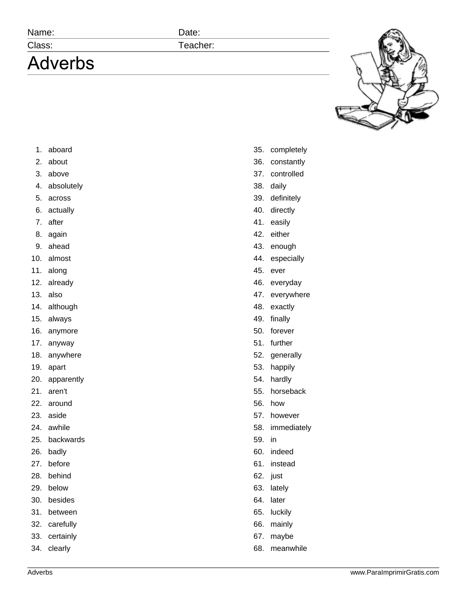## Name: Date:

## **Adverbs**

Class: Teacher:



- 1. aboard
- 2. about
- 3. above
- 4. absolutely
- 5. across
- 6. actually
- 7. after
- 8. again
- 9. ahead
- 10. almost
- 11. along
- 12. already
- 13. also
- 14. although
- 15. always
- 16. anymore
- 17. anyway
- 18. anywhere
- 19. apart
- 20. apparently
- 21. aren't
- 22. around
- 23. aside
- 24. awhile
- 25. backwards
- 26. badly
- 27. before
- 28. behind
- 29. below
- 30. besides
- 31. between
- 32. carefully
- 33. certainly
- 34. clearly
- 35. completely
- 36. constantly
- 37. controlled
- 38. daily
- 39. definitely
- 40. directly
- 41. easily
- 42. either
- 43. enough
- 44. especially
- 45. ever
- 46. everyday
- 47. everywhere
- 48. exactly
- 49. finally
- 50. forever
- 51. further
- 52. generally
- 53. happily
- 54. hardly
- 55. horseback
- 56. how
- 57. however
- 58. immediately
- 59. in
- 60. indeed
- 61. instead
- 62. just
- 63. lately
- 64. later
- 65. luckily
- 66. mainly
- 67. maybe
- 68. meanwhile